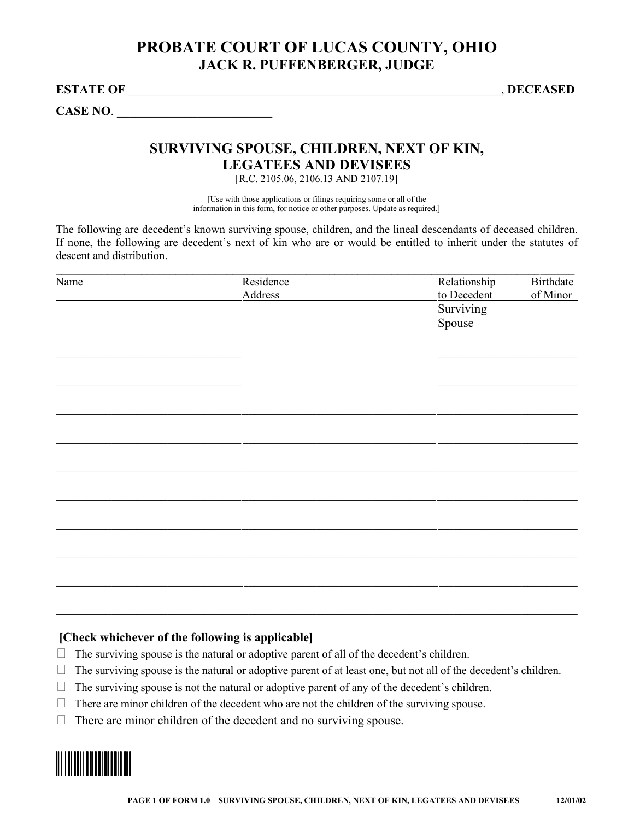## **PROBATE COURT OF LUCAS COUNTY, OHIO JACK R. PUFFENBERGER, JUDGE**

**ESTATE OF** \_\_\_\_\_\_\_\_\_\_\_\_\_\_\_\_\_\_\_\_\_\_\_\_\_\_\_\_\_\_\_\_\_\_\_\_\_\_\_\_\_\_\_\_\_\_\_\_\_\_\_\_\_\_\_\_\_\_\_\_, **DECEASED** 

CASE NO.

### **SURVIVING SPOUSE, CHILDREN, NEXT OF KIN, LEGATEES AND DEVISEES**

[R.C. 2105.06, 2106.13 AND 2107.19]

[Use with those applications or filings requiring some or all of the information in this form, for notice or other purposes. Update as required.]

The following are decedent's known surviving spouse, children, and the lineal descendants of deceased children. If none, the following are decedent's next of kin who are or would be entitled to inherit under the statutes of descent and distribution.

| Name | Residence      | Relationship             | <b>Birthdate</b> |
|------|----------------|--------------------------|------------------|
|      | <b>Address</b> | to Decedent<br>Surviving | of Minor         |
|      |                |                          |                  |
|      |                | Spouse                   |                  |
|      |                |                          |                  |
|      |                |                          |                  |
|      |                |                          |                  |
|      |                |                          |                  |
|      |                |                          |                  |
|      |                |                          |                  |
|      |                |                          |                  |
|      |                |                          |                  |
|      |                |                          |                  |
|      |                |                          |                  |
|      |                |                          |                  |
|      |                |                          |                  |
|      |                |                          |                  |
|      |                |                          |                  |
|      |                |                          |                  |
|      |                |                          |                  |
|      |                |                          |                  |
|      |                |                          |                  |
|      |                |                          |                  |

#### **[Check whichever of the following is applicable]**

- **ڤ** The surviving spouse is the natural or adoptive parent of all of the decedent's children.
- **ڤ** The surviving spouse is the natural or adoptive parent of at least one, but not all of the decedent's children.

 $\_$  , and the contribution of the contribution of the contribution of the contribution of  $\mathcal{L}_\text{max}$ 

- **ڤ** The surviving spouse is not the natural or adoptive parent of any of the decedent's children.
- **ڤ** There are minor children of the decedent who are not the children of the surviving spouse.
- **ڤ** There are minor children of the decedent and no surviving spouse.

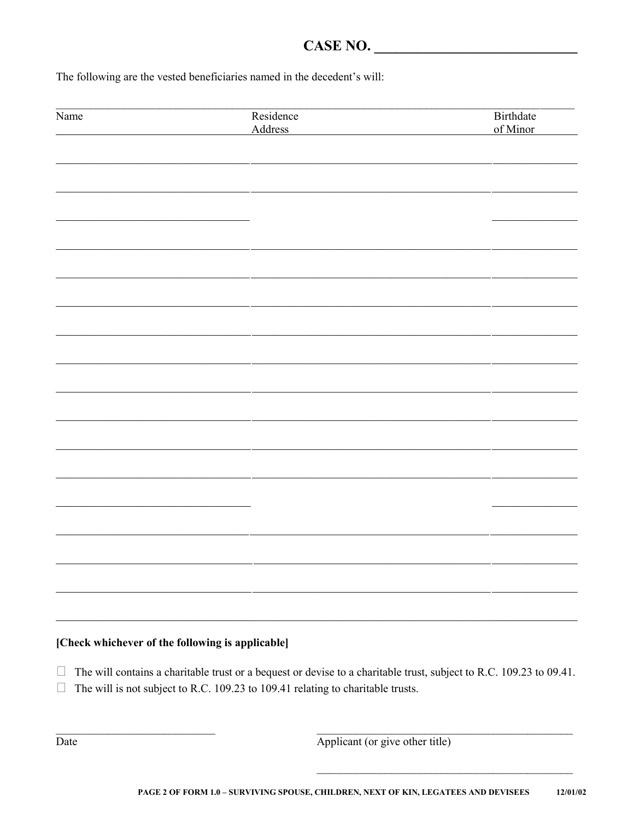# $CASE NO.$

The following are the vested beneficiaries named in the decedent's will:

| Name                                             | Residence<br>Address                                                                                                                                                                                   | Birthdate<br>of Minor |
|--------------------------------------------------|--------------------------------------------------------------------------------------------------------------------------------------------------------------------------------------------------------|-----------------------|
|                                                  |                                                                                                                                                                                                        |                       |
|                                                  |                                                                                                                                                                                                        |                       |
|                                                  |                                                                                                                                                                                                        |                       |
|                                                  |                                                                                                                                                                                                        |                       |
|                                                  |                                                                                                                                                                                                        |                       |
|                                                  |                                                                                                                                                                                                        |                       |
|                                                  |                                                                                                                                                                                                        |                       |
|                                                  |                                                                                                                                                                                                        |                       |
|                                                  |                                                                                                                                                                                                        |                       |
|                                                  |                                                                                                                                                                                                        |                       |
|                                                  |                                                                                                                                                                                                        |                       |
|                                                  |                                                                                                                                                                                                        |                       |
|                                                  |                                                                                                                                                                                                        |                       |
|                                                  |                                                                                                                                                                                                        |                       |
|                                                  |                                                                                                                                                                                                        |                       |
|                                                  |                                                                                                                                                                                                        |                       |
|                                                  |                                                                                                                                                                                                        |                       |
|                                                  |                                                                                                                                                                                                        |                       |
|                                                  |                                                                                                                                                                                                        |                       |
|                                                  |                                                                                                                                                                                                        |                       |
|                                                  |                                                                                                                                                                                                        |                       |
|                                                  |                                                                                                                                                                                                        |                       |
|                                                  |                                                                                                                                                                                                        |                       |
|                                                  |                                                                                                                                                                                                        |                       |
| [Check whichever of the following is applicable] |                                                                                                                                                                                                        |                       |
|                                                  |                                                                                                                                                                                                        |                       |
| $\Box$                                           | The will contains a charitable trust or a bequest or devise to a charitable trust, subject to R.C. 109.23 to 09.41.<br>The will is not subject to R.C. 109.23 to 109.41 relating to charitable trusts. |                       |

Applicant (or give other title)

Date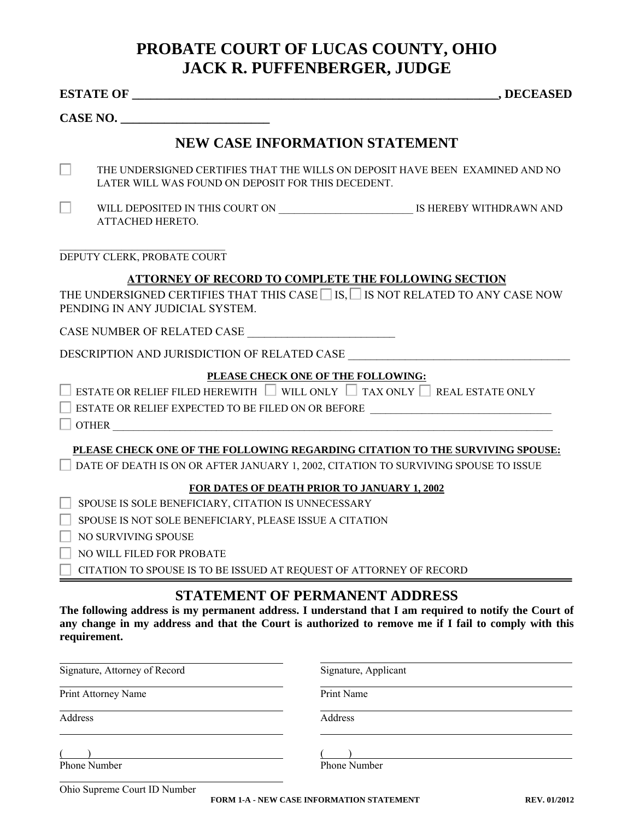# **PROBATE COURT OF LUCAS COUNTY, OHIO JACK R. PUFFENBERGER, JUDGE**

|         | CASE NO.                                                                       |                                                                                                                                                                                                                                                        |
|---------|--------------------------------------------------------------------------------|--------------------------------------------------------------------------------------------------------------------------------------------------------------------------------------------------------------------------------------------------------|
|         |                                                                                | NEW CASE INFORMATION STATEMENT                                                                                                                                                                                                                         |
|         | LATER WILL WAS FOUND ON DEPOSIT FOR THIS DECEDENT.                             | THE UNDERSIGNED CERTIFIES THAT THE WILLS ON DEPOSIT HAVE BEEN EXAMINED AND NO                                                                                                                                                                          |
|         | ATTACHED HERETO.                                                               |                                                                                                                                                                                                                                                        |
|         | DEPUTY CLERK, PROBATE COURT                                                    |                                                                                                                                                                                                                                                        |
|         |                                                                                | <b>ATTORNEY OF RECORD TO COMPLETE THE FOLLOWING SECTION</b>                                                                                                                                                                                            |
|         | PENDING IN ANY JUDICIAL SYSTEM.                                                | THE UNDERSIGNED CERTIFIES THAT THIS CASE $\Box$ IS, $\Box$ IS NOT RELATED TO ANY CASE NOW                                                                                                                                                              |
|         |                                                                                |                                                                                                                                                                                                                                                        |
|         |                                                                                | DESCRIPTION AND JURISDICTION OF RELATED CASE ___________________________________                                                                                                                                                                       |
|         |                                                                                | PLEASE CHECK ONE OF THE FOLLOWING:<br>ESTATE OR RELIEF FILED HEREWITH WILL ONLY $\Box$ TAX ONLY $\Box$ REAL ESTATE ONLY<br>ESTATE OR RELIEF EXPECTED TO BE FILED ON OR BEFORE ______________________________                                           |
|         |                                                                                | PLEASE CHECK ONE OF THE FOLLOWING REGARDING CITATION TO THE SURVIVING SPOUSE:<br>DATE OF DEATH IS ON OR AFTER JANUARY 1, 2002, CITATION TO SURVIVING SPOUSE TO ISSUE                                                                                   |
|         |                                                                                | FOR DATES OF DEATH PRIOR TO JANUARY 1, 2002                                                                                                                                                                                                            |
|         | SPOUSE IS SOLE BENEFICIARY, CITATION IS UNNECESSARY                            |                                                                                                                                                                                                                                                        |
|         | SPOUSE IS NOT SOLE BENEFICIARY, PLEASE ISSUE A CITATION<br>NO SURVIVING SPOUSE |                                                                                                                                                                                                                                                        |
|         | NO WILL FILED FOR PROBATE                                                      |                                                                                                                                                                                                                                                        |
|         | CITATION TO SPOUSE IS TO BE ISSUED AT REQUEST OF ATTORNEY OF RECORD            |                                                                                                                                                                                                                                                        |
|         | requirement.                                                                   | <b>STATEMENT OF PERMANENT ADDRESS</b><br>The following address is my permanent address. I understand that I am required to notify the Court of<br>any change in my address and that the Court is authorized to remove me if I fail to comply with this |
|         | Signature, Attorney of Record                                                  | Signature, Applicant                                                                                                                                                                                                                                   |
|         | Print Attorney Name                                                            | Print Name                                                                                                                                                                                                                                             |
| Address |                                                                                | Address                                                                                                                                                                                                                                                |
|         | <b>Phone Number</b>                                                            | <b>Phone Number</b>                                                                                                                                                                                                                                    |
|         | Ohio Supreme Court ID Number                                                   |                                                                                                                                                                                                                                                        |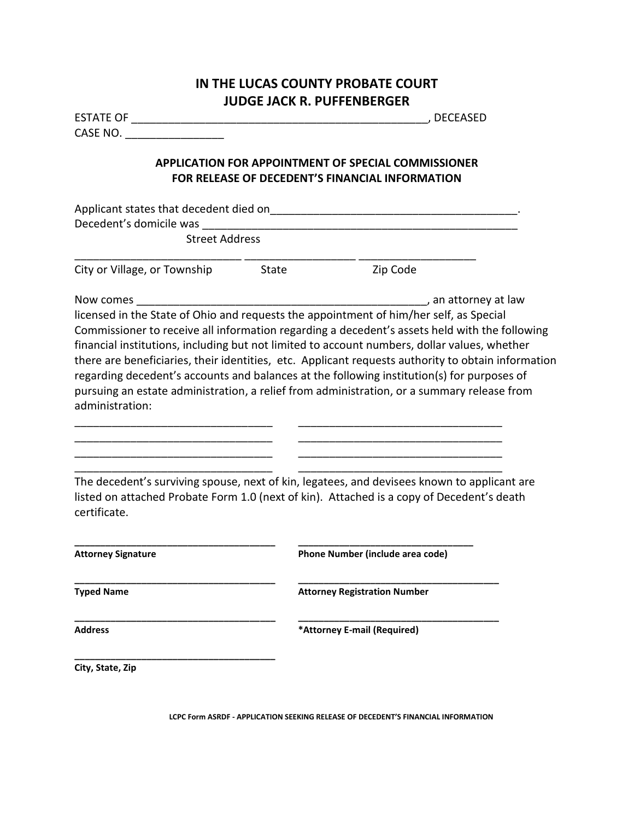### **IN THE LUCAS COUNTY PROBATE COURT JUDGE JACK R. PUFFENBERGER**

|                                                                                        | , DECEASED                                                                                                    |  |  |
|----------------------------------------------------------------------------------------|---------------------------------------------------------------------------------------------------------------|--|--|
| CASE NO. $\qquad \qquad$                                                               |                                                                                                               |  |  |
|                                                                                        | <b>APPLICATION FOR APPOINTMENT OF SPECIAL COMMISSIONER</b><br>FOR RELEASE OF DECEDENT'S FINANCIAL INFORMATION |  |  |
|                                                                                        |                                                                                                               |  |  |
|                                                                                        |                                                                                                               |  |  |
| <b>Street Address</b>                                                                  |                                                                                                               |  |  |
| City or Village, or Township State                                                     | Zip Code                                                                                                      |  |  |
| Now comes                                                                              |                                                                                                               |  |  |
| licensed in the State of Ohio and requests the appointment of him/her self, as Special |                                                                                                               |  |  |
|                                                                                        | Commissioner to receive all information regarding a decedent's assets held with the following                 |  |  |
|                                                                                        | financial institutions, including but not limited to account numbers, dollar values, whether                  |  |  |
|                                                                                        | there are beneficiaries, their identities, etc. Applicant requests authority to obtain information            |  |  |
|                                                                                        | regarding decedent's accounts and balances at the following institution(s) for purposes of                    |  |  |
|                                                                                        | pursuing an estate administration, a relief from administration, or a summary release from                    |  |  |
| administration:                                                                        |                                                                                                               |  |  |
|                                                                                        |                                                                                                               |  |  |
|                                                                                        |                                                                                                               |  |  |
|                                                                                        |                                                                                                               |  |  |
|                                                                                        |                                                                                                               |  |  |
|                                                                                        | The decedent's surviving spouse, next of kin, legatees, and devisees known to applicant are                   |  |  |
|                                                                                        | listed on attached Probate Form 1.0 (next of kin). Attached is a copy of Decedent's death                     |  |  |
| certificate.                                                                           |                                                                                                               |  |  |
|                                                                                        |                                                                                                               |  |  |
|                                                                                        |                                                                                                               |  |  |
| <b>Attorney Signature</b>                                                              | Phone Number (include area code)                                                                              |  |  |
| <b>Typed Name</b>                                                                      | <b>Attorney Registration Number</b>                                                                           |  |  |
| <b>Address</b>                                                                         | *Attorney E-mail (Required)                                                                                   |  |  |
| City, State, Zip                                                                       |                                                                                                               |  |  |

**LCPC Form ASRDF - APPLICATION SEEKING RELEASE OF DECEDENT'S FINANCIAL INFORMATION**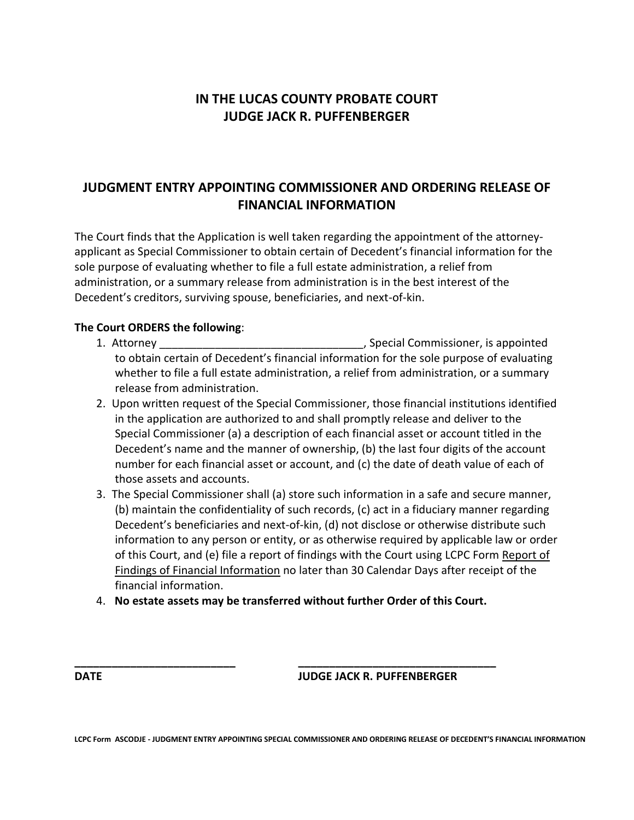## **IN THE LUCAS COUNTY PROBATE COURT JUDGE JACK R. PUFFENBERGER**

### **JUDGMENT ENTRY APPOINTING COMMISSIONER AND ORDERING RELEASE OF FINANCIAL INFORMATION**

The Court finds that the Application is well taken regarding the appointment of the attorneyapplicant as Special Commissioner to obtain certain of Decedent's financial information for the sole purpose of evaluating whether to file a full estate administration, a relief from administration, or a summary release from administration is in the best interest of the Decedent's creditors, surviving spouse, beneficiaries, and next-of-kin.

#### **The Court ORDERS the following**:

- 1. Attorney \_\_\_\_\_\_\_\_\_\_\_\_\_\_\_\_\_\_\_\_\_\_\_\_\_\_\_\_\_\_\_\_\_, Special Commissioner, is appointed to obtain certain of Decedent's financial information for the sole purpose of evaluating whether to file a full estate administration, a relief from administration, or a summary release from administration.
- 2. Upon written request of the Special Commissioner, those financial institutions identified in the application are authorized to and shall promptly release and deliver to the Special Commissioner (a) a description of each financial asset or account titled in the Decedent's name and the manner of ownership, (b) the last four digits of the account number for each financial asset or account, and (c) the date of death value of each of those assets and accounts.
- 3. The Special Commissioner shall (a) store such information in a safe and secure manner, (b) maintain the confidentiality of such records, (c) act in a fiduciary manner regarding Decedent's beneficiaries and next-of-kin, (d) not disclose or otherwise distribute such information to any person or entity, or as otherwise required by applicable law or order of this Court, and (e) file a report of findings with the Court using LCPC Form Report of Findings of Financial Information no later than 30 Calendar Days after receipt of the financial information.
- 4. **No estate assets may be transferred without further Order of this Court.**

**\_\_\_\_\_\_\_\_\_\_\_\_\_\_\_\_\_\_\_\_\_\_\_\_\_\_ \_\_\_\_\_\_\_\_\_\_\_\_\_\_\_\_\_\_\_\_\_\_\_\_\_\_\_\_\_\_\_\_**

#### **DATE JUDGE JACK R. PUFFENBERGER**

**LCPC Form ASCODJE - JUDGMENT ENTRY APPOINTING SPECIAL COMMISSIONER AND ORDERING RELEASE OF DECEDENT'S FINANCIAL INFORMATION**